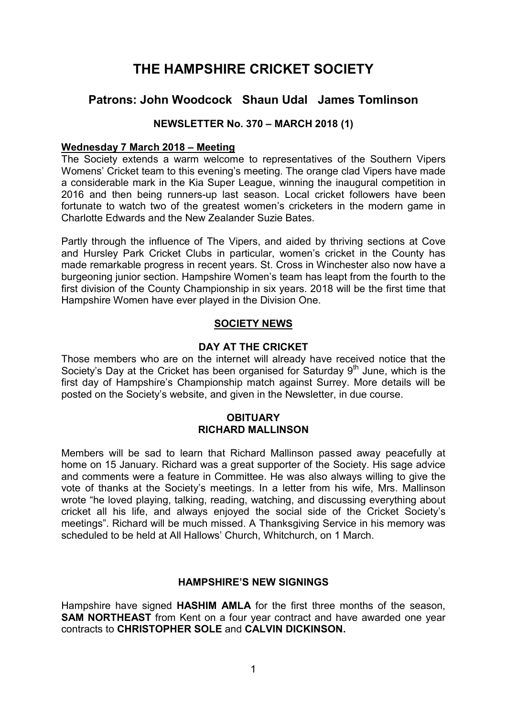# THE HAMPSHIRE CRICKET SOCIETY

# Patrons: John Woodcock Shaun Udal James Tomlinson

## NEWSLETTER No. 370 – MARCH 2018 (1)

#### Wednesday 7 March 2018 – Meeting

The Society extends a warm welcome to representatives of the Southern Vipers Womens' Cricket team to this evening's meeting. The orange clad Vipers have made a considerable mark in the Kia Super League, winning the inaugural competition in 2016 and then being runners-up last season. Local cricket followers have been fortunate to watch two of the greatest women's cricketers in the modern game in Charlotte Edwards and the New Zealander Suzie Bates.

Partly through the influence of The Vipers, and aided by thriving sections at Cove and Hursley Park Cricket Clubs in particular, women's cricket in the County has made remarkable progress in recent years. St. Cross in Winchester also now have a burgeoning junior section. Hampshire Women's team has leapt from the fourth to the first division of the County Championship in six years. 2018 will be the first time that Hampshire Women have ever played in the Division One.

## SOCIETY NEWS

#### DAY AT THE CRICKET

Those members who are on the internet will already have received notice that the Society's Day at the Cricket has been organised for Saturday  $9<sup>th</sup>$  June, which is the first day of Hampshire's Championship match against Surrey. More details will be posted on the Society's website, and given in the Newsletter, in due course.

#### **OBITUARY** RICHARD MALLINSON

Members will be sad to learn that Richard Mallinson passed away peacefully at home on 15 January. Richard was a great supporter of the Society. His sage advice and comments were a feature in Committee. He was also always willing to give the vote of thanks at the Society's meetings. In a letter from his wife, Mrs. Mallinson wrote "he loved playing, talking, reading, watching, and discussing everything about cricket all his life, and always enjoyed the social side of the Cricket Society's meetings". Richard will be much missed. A Thanksgiving Service in his memory was scheduled to be held at All Hallows' Church, Whitchurch, on 1 March.

#### HAMPSHIRE'S NEW SIGNINGS

Hampshire have signed **HASHIM AMLA** for the first three months of the season, SAM NORTHEAST from Kent on a four year contract and have awarded one year contracts to CHRISTOPHER SOLE and CALVIN DICKINSON.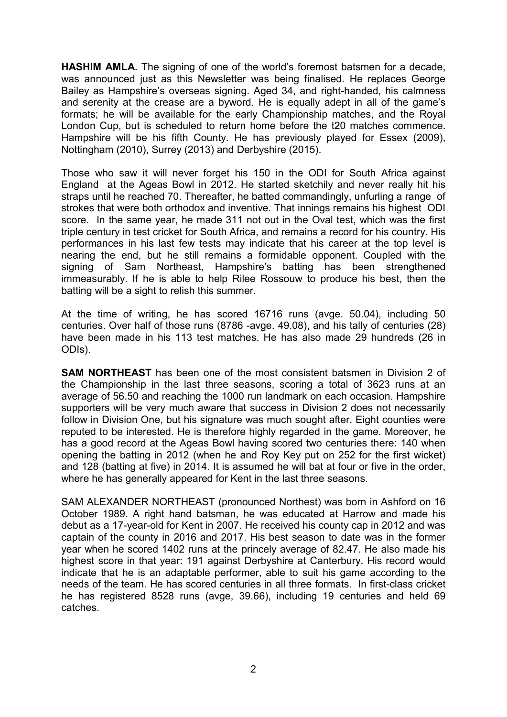HASHIM AMLA. The signing of one of the world's foremost batsmen for a decade, was announced just as this Newsletter was being finalised. He replaces George Bailey as Hampshire's overseas signing. Aged 34, and right-handed, his calmness and serenity at the crease are a byword. He is equally adept in all of the game's formats; he will be available for the early Championship matches, and the Royal London Cup, but is scheduled to return home before the t20 matches commence. Hampshire will be his fifth County. He has previously played for Essex (2009), Nottingham (2010), Surrey (2013) and Derbyshire (2015).

Those who saw it will never forget his 150 in the ODI for South Africa against England at the Ageas Bowl in 2012. He started sketchily and never really hit his straps until he reached 70. Thereafter, he batted commandingly, unfurling a range of strokes that were both orthodox and inventive. That innings remains his highest ODI score. In the same year, he made 311 not out in the Oval test, which was the first triple century in test cricket for South Africa, and remains a record for his country. His performances in his last few tests may indicate that his career at the top level is nearing the end, but he still remains a formidable opponent. Coupled with the signing of Sam Northeast, Hampshire's batting has been strengthened immeasurably. If he is able to help Rilee Rossouw to produce his best, then the batting will be a sight to relish this summer.

At the time of writing, he has scored 16716 runs (avge, 50.04), including 50 centuries. Over half of those runs (8786 -avge. 49.08), and his tally of centuries (28) have been made in his 113 test matches. He has also made 29 hundreds (26 in ODIs).

SAM NORTHEAST has been one of the most consistent batsmen in Division 2 of the Championship in the last three seasons, scoring a total of 3623 runs at an average of 56.50 and reaching the 1000 run landmark on each occasion. Hampshire supporters will be very much aware that success in Division 2 does not necessarily follow in Division One, but his signature was much sought after. Eight counties were reputed to be interested. He is therefore highly regarded in the game. Moreover, he has a good record at the Ageas Bowl having scored two centuries there: 140 when opening the batting in 2012 (when he and Roy Key put on 252 for the first wicket) and 128 (batting at five) in 2014. It is assumed he will bat at four or five in the order, where he has generally appeared for Kent in the last three seasons.

SAM ALEXANDER NORTHEAST (pronounced Northest) was born in Ashford on 16 October 1989. A right hand batsman, he was educated at Harrow and made his debut as a 17-year-old for Kent in 2007. He received his county cap in 2012 and was captain of the county in 2016 and 2017. His best season to date was in the former year when he scored 1402 runs at the princely average of 82.47. He also made his highest score in that year: 191 against Derbyshire at Canterbury. His record would indicate that he is an adaptable performer, able to suit his game according to the needs of the team. He has scored centuries in all three formats. In first-class cricket he has registered 8528 runs (avge, 39.66), including 19 centuries and held 69 catches.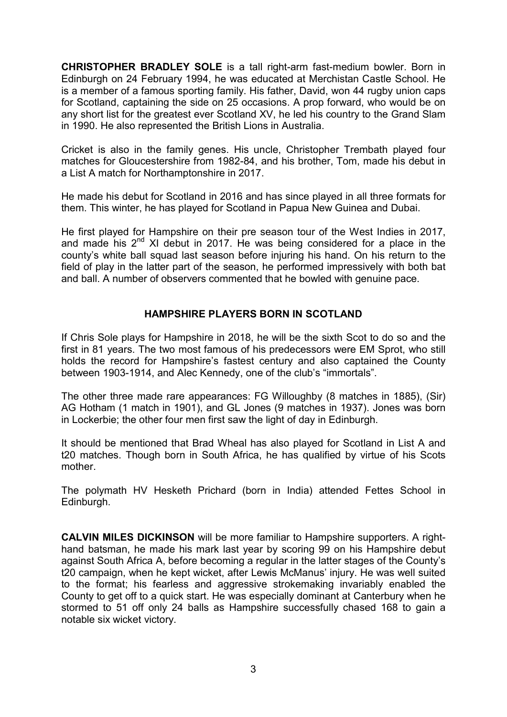CHRISTOPHER BRADLEY SOLE is a tall right-arm fast-medium bowler. Born in Edinburgh on 24 February 1994, he was educated at Merchistan Castle School. He is a member of a famous sporting family. His father, David, won 44 rugby union caps for Scotland, captaining the side on 25 occasions. A prop forward, who would be on any short list for the greatest ever Scotland XV, he led his country to the Grand Slam in 1990. He also represented the British Lions in Australia.

Cricket is also in the family genes. His uncle, Christopher Trembath played four matches for Gloucestershire from 1982-84, and his brother, Tom, made his debut in a List A match for Northamptonshire in 2017.

He made his debut for Scotland in 2016 and has since played in all three formats for them. This winter, he has played for Scotland in Papua New Guinea and Dubai.

He first played for Hampshire on their pre season tour of the West Indies in 2017, and made his  $2^{nd}$  XI debut in 2017. He was being considered for a place in the county's white ball squad last season before injuring his hand. On his return to the field of play in the latter part of the season, he performed impressively with both bat and ball. A number of observers commented that he bowled with genuine pace.

## HAMPSHIRE PLAYERS BORN IN SCOTLAND

If Chris Sole plays for Hampshire in 2018, he will be the sixth Scot to do so and the first in 81 years. The two most famous of his predecessors were EM Sprot, who still holds the record for Hampshire's fastest century and also captained the County between 1903-1914, and Alec Kennedy, one of the club's "immortals".

The other three made rare appearances: FG Willoughby (8 matches in 1885), (Sir) AG Hotham (1 match in 1901), and GL Jones (9 matches in 1937). Jones was born in Lockerbie; the other four men first saw the light of day in Edinburgh.

It should be mentioned that Brad Wheal has also played for Scotland in List A and t20 matches. Though born in South Africa, he has qualified by virtue of his Scots mother.

The polymath HV Hesketh Prichard (born in India) attended Fettes School in Edinburgh.

CALVIN MILES DICKINSON will be more familiar to Hampshire supporters. A righthand batsman, he made his mark last year by scoring 99 on his Hampshire debut against South Africa A, before becoming a regular in the latter stages of the County's t20 campaign, when he kept wicket, after Lewis McManus' injury. He was well suited to the format; his fearless and aggressive strokemaking invariably enabled the County to get off to a quick start. He was especially dominant at Canterbury when he stormed to 51 off only 24 balls as Hampshire successfully chased 168 to gain a notable six wicket victory.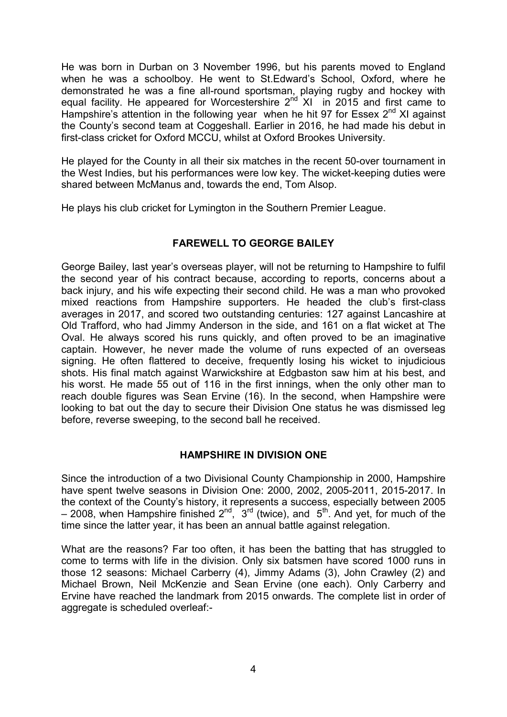He was born in Durban on 3 November 1996, but his parents moved to England when he was a schoolboy. He went to St.Edward's School, Oxford, where he demonstrated he was a fine all-round sportsman, playing rugby and hockey with equal facility. He appeared for Worcestershire  $2<sup>nd</sup>$  XI in 2015 and first came to Hampshire's attention in the following year when he hit 97 for Essex  $2^{nd}$  XI against the County's second team at Coggeshall. Earlier in 2016, he had made his debut in first-class cricket for Oxford MCCU, whilst at Oxford Brookes University.

He played for the County in all their six matches in the recent 50-over tournament in the West Indies, but his performances were low key. The wicket-keeping duties were shared between McManus and, towards the end, Tom Alsop.

He plays his club cricket for Lymington in the Southern Premier League.

# FAREWELL TO GEORGE BAILEY

George Bailey, last year's overseas player, will not be returning to Hampshire to fulfil the second year of his contract because, according to reports, concerns about a back injury, and his wife expecting their second child. He was a man who provoked mixed reactions from Hampshire supporters. He headed the club's first-class averages in 2017, and scored two outstanding centuries: 127 against Lancashire at Old Trafford, who had Jimmy Anderson in the side, and 161 on a flat wicket at The Oval. He always scored his runs quickly, and often proved to be an imaginative captain. However, he never made the volume of runs expected of an overseas signing. He often flattered to deceive, frequently losing his wicket to injudicious shots. His final match against Warwickshire at Edgbaston saw him at his best, and his worst. He made 55 out of 116 in the first innings, when the only other man to reach double figures was Sean Ervine (16). In the second, when Hampshire were looking to bat out the day to secure their Division One status he was dismissed leg before, reverse sweeping, to the second ball he received.

#### HAMPSHIRE IN DIVISION ONE

Since the introduction of a two Divisional County Championship in 2000, Hampshire have spent twelve seasons in Division One: 2000, 2002, 2005-2011, 2015-2017. In the context of the County's history, it represents a success, especially between 2005  $-$  2008, when Hampshire finished  $2^{nd}$ ,  $3^{rd}$  (twice), and  $5^{th}$ . And yet, for much of the time since the latter year, it has been an annual battle against relegation.

What are the reasons? Far too often, it has been the batting that has struggled to come to terms with life in the division. Only six batsmen have scored 1000 runs in those 12 seasons: Michael Carberry (4), Jimmy Adams (3), John Crawley (2) and Michael Brown, Neil McKenzie and Sean Ervine (one each). Only Carberry and Ervine have reached the landmark from 2015 onwards. The complete list in order of aggregate is scheduled overleaf:-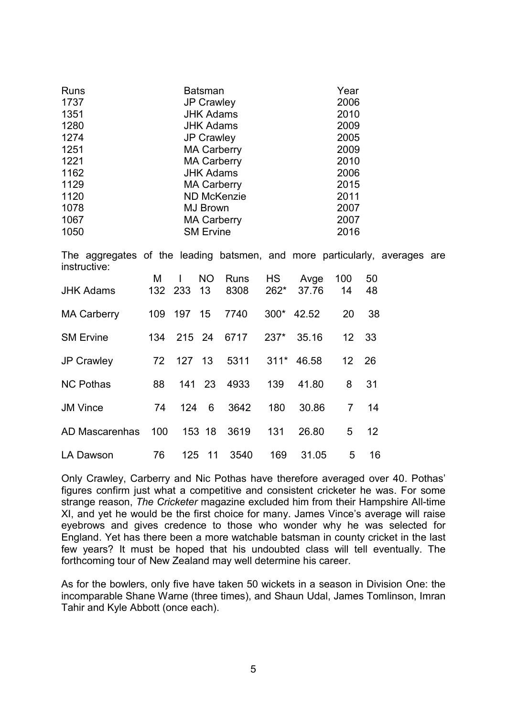| <b>Runs</b>                                                                                | <b>Batsman</b>     |            |           |             |           | Year       |                |    |  |  |
|--------------------------------------------------------------------------------------------|--------------------|------------|-----------|-------------|-----------|------------|----------------|----|--|--|
| 1737                                                                                       | <b>JP Crawley</b>  |            |           |             | 2006      |            |                |    |  |  |
| 1351                                                                                       | <b>JHK Adams</b>   |            |           |             | 2010      |            |                |    |  |  |
| 1280                                                                                       | <b>JHK Adams</b>   |            |           |             | 2009      |            |                |    |  |  |
| 1274                                                                                       | <b>JP Crawley</b>  |            |           |             | 2005      |            |                |    |  |  |
| 1251                                                                                       | <b>MA Carberry</b> |            |           |             |           | 2009       |                |    |  |  |
| 1221                                                                                       | <b>MA Carberry</b> |            |           |             |           | 2010       |                |    |  |  |
| 1162                                                                                       | <b>JHK Adams</b>   |            |           |             |           | 2006       |                |    |  |  |
| 1129                                                                                       | <b>MA Carberry</b> |            |           |             |           | 2015       |                |    |  |  |
| 1120                                                                                       | <b>ND McKenzie</b> |            |           |             | 2011      |            |                |    |  |  |
| 1078                                                                                       | <b>MJ Brown</b>    |            |           |             | 2007      |            |                |    |  |  |
| 1067                                                                                       | <b>MA Carberry</b> |            |           |             | 2007      |            |                |    |  |  |
| 1050                                                                                       | <b>SM Ervine</b>   |            |           |             |           | 2016       |                |    |  |  |
| The aggregates of the leading batsmen, and more particularly, averages are<br>instructive: |                    |            |           |             |           |            |                |    |  |  |
|                                                                                            | M                  | I          | <b>NO</b> | <b>Runs</b> | <b>HS</b> | Avge       | 100            | 50 |  |  |
| <b>JHK Adams</b>                                                                           | 132 233            |            | 13        | 8308        | $262*$    | 37.76      | 14             | 48 |  |  |
| <b>MA Carberry</b>                                                                         |                    | 109 197 15 |           | 7740        |           | 300* 42.52 | 20             | 38 |  |  |
| <b>SM Ervine</b>                                                                           | 134                | 215 24     |           | 6717        | $237*$    | 35.16      | 12             | 33 |  |  |
| <b>JP Crawley</b>                                                                          | 72                 | 127 13     |           | 5311        | $311*$    | 46.58      | 12             | 26 |  |  |
| <b>NC Pothas</b>                                                                           | 88                 | 141        | 23        | 4933        | 139       | 41.80      | 8              | 31 |  |  |
| <b>JM Vince</b>                                                                            | 74                 | 124        | 6         | 3642        | 180       | 30.86      | $\overline{7}$ | 14 |  |  |
| <b>AD Mascarenhas</b>                                                                      | 100                |            | 153 18    | 3619        | 131       | 26.80      | 5              | 12 |  |  |
| LA Dawson                                                                                  | 76                 | 125        | 11        | 3540        | 169       | 31.05      | 5              | 16 |  |  |

Only Crawley, Carberry and Nic Pothas have therefore averaged over 40. Pothas' figures confirm just what a competitive and consistent cricketer he was. For some strange reason, The Cricketer magazine excluded him from their Hampshire All-time XI, and yet he would be the first choice for many. James Vince's average will raise eyebrows and gives credence to those who wonder why he was selected for England. Yet has there been a more watchable batsman in county cricket in the last few years? It must be hoped that his undoubted class will tell eventually. The forthcoming tour of New Zealand may well determine his career.

As for the bowlers, only five have taken 50 wickets in a season in Division One: the incomparable Shane Warne (three times), and Shaun Udal, James Tomlinson, Imran Tahir and Kyle Abbott (once each).